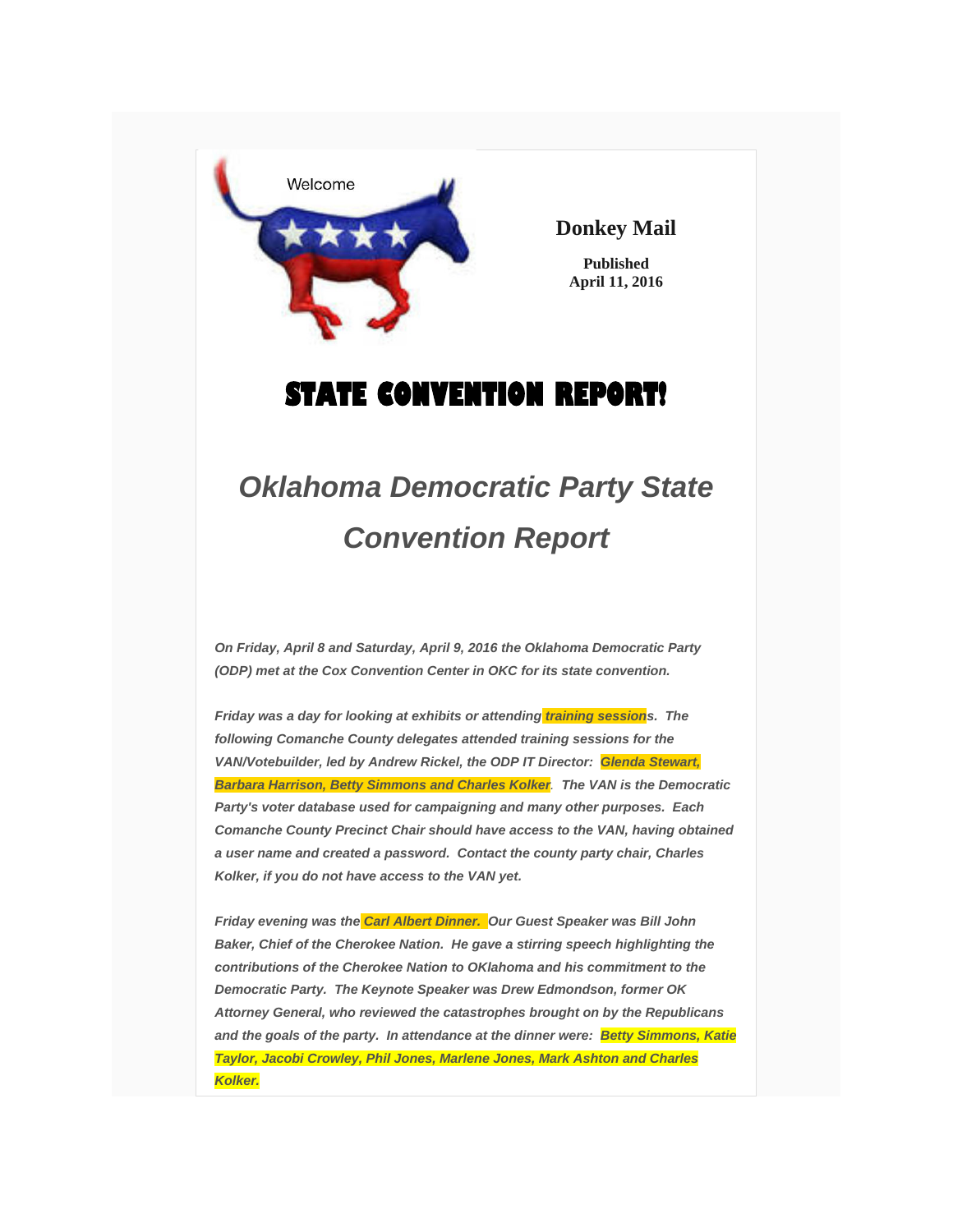

**Donkey Mail**

**Published April 11, 2016**

## **STATE CONVENTION REPORT!**

## *Oklahoma Democratic Party State Convention Report*

*On Friday, April 8 and Saturday, April 9, 2016 the Oklahoma Democratic Party (ODP) met at the Cox Convention Center in OKC for its state convention.*

*Friday was a day for looking at exhibits or attending training sessions. The following Comanche County delegates attended training sessions for the VAN/Votebuilder, led by Andrew Rickel, the ODP IT Director: Glenda Stewart, Barbara Harrison, Betty Simmons and Charles Kolker. The VAN is the Democratic Party's voter database used for campaigning and many other purposes. Each Comanche County Precinct Chair should have access to the VAN, having obtained a user name and created a password. Contact the county party chair, Charles Kolker, if you do not have access to the VAN yet.*

*Friday evening was the Carl Albert Dinner. Our Guest Speaker was Bill John Baker, Chief of the Cherokee Nation. He gave a stirring speech highlighting the contributions of the Cherokee Nation to OKlahoma and his commitment to the Democratic Party. The Keynote Speaker was Drew Edmondson, former OK Attorney General, who reviewed the catastrophes brought on by the Republicans and the goals of the party. In attendance at the dinner were: Betty Simmons, Katie Taylor, Jacobi Crowley, Phil Jones, Marlene Jones, Mark Ashton and Charles Kolker.*